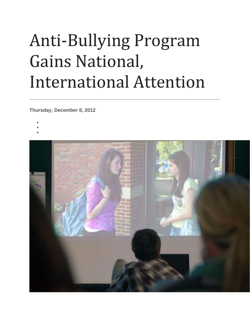## Anti-Bullying Program Gains National, International Attention

**Thursday, December 6, 2012**

- •
- •
- 
- •

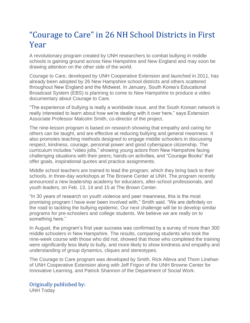## "Courage to Care" in 26 NH School Districts in First Year

A revolutionary program created by UNH researchers to combat bullying in middle schools is gaining ground across New Hampshire and New England and may soon be drawing attention on the other side of the world.

Courage to Care, developed by UNH Cooperative Extension and launched in 2011, has already been adopted by 26 New Hampshire school districts and others scattered throughout New England and the Midwest. In January, South Korea's Educational Broadcast System (EBS) is planning to come to New Hampshire to produce a video documentary about Courage to Care.

"The experience of bullying is really a worldwide issue, and the South Korean network is really interested to learn about how we're dealing with it over here," says Extension Associate Professor Malcolm Smith, co-director of the project.

The nine-lesson program is based on research showing that empathy and caring for others can be taught, and are effective at reducing bullying and general meanness. It also promotes teaching methods designed to engage middle schoolers in discussing respect, kindness, courage, personal power and good cyberspace citizenship. The curriculum includes "video jolts," showing young actors from New Hampshire facing challenging situations with their peers; hands-on activities, and "Courage Books" that offer goals, inspirational quotes and practice assignments.

Middle school teachers are trained to lead the program, which they bring back to their schools, in three-day workshops at The Browne Center at UNH. The program recently announced a new leadership academy for educators, after-school professionals, and youth leaders, on Feb. 13, 14 and 15 at The Brown Center.

"In 30 years of research on youth violence and peer meanness, this is the most promising program I have ever been involved with," Smith said. "We are definitely on the road to tackling the bullying epidemic. Our next challenge will be to develop similar programs for pre-schoolers and college students. We believe we are really on to something here."

In August, the program's first year success was confirmed by a survey of more than 300 middle schoolers in New Hampshire. The results, comparing students who took the nine-week course with those who did not, showed that those who completed the training were significantly less likely to bully, and more likely to show kindness and empathy and understanding of group dynamics, cliques and stereotypes.

The Courage to Care program was developed by Smith, Rick Alleva and Thom Linehan of UNH Cooperative Extension along with Jeff Frigon of the UNH Browne Center for Innovative Learning, and Patrick Shannon of the Department of Social Work.

## Originally published by:

UNH Today